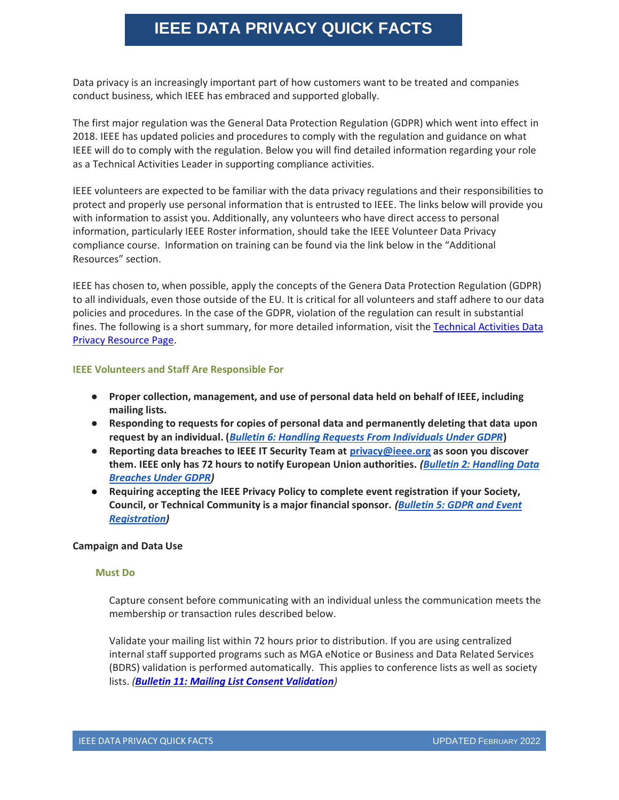# **IEEE DATA PRIVACY QUICK FACTS**

Data privacy is an increasingly important part of how customers want to be treated and companies conduct business, which IEEE has embraced and supported globally.

The first major regulation was the General Data Protection Regulation (GDPR) which went into effect in 2018. IEEE has updated policies and procedures to comply with the regulation and guidance on what IEEE will do to comply with the regulation. Below you will find detailed information regarding your role as a Technical Activities Leader in supporting compliance activities.

IEEE volunteers are expected to be familiar with the data privacy regulations and their responsibilities to protect and properly use personal information that is entrusted to IEEE. The links below will provide you with information to assist you. Additionally, any volunteers who have direct access to personal information, particularly IEEE Roster information, should take the IEEE Volunteer Data Privacy compliance course. Information on training can be found via the link below in the "Additional Resources" section.

IEEE has chosen to, when possible, apply the concepts of the Genera Data Protection Regulation (GDPR) to all individuals, even those outside of the EU. It is critical for all volunteers and staff adhere to our data policies and procedures. In the case of the GDPR, violation of the regulation can result in substantial fines. The following is a short summary, for more detailed information, visit the Technical Activities Data [Privacy Resource Page.](https://ta.ieee.org/operations/technical-activities-data-privacy-resource-page)

### **IEEE Volunteers and Staff Are Responsible For**

- **Proper collection, management, and use of personal data held on behalf of IEEE, including mailing lists.**
- **Responding to requests for copies of personal data and permanently deleting that data upon request by an individual. (***[Bulletin 6: Handling Requests From Individuals Under GDPR](https://ta.ieee.org/operations/technical-activities-gdpr-resource-page/bulletin-6-handling-requests-from-individuals-under-gdpr)***)**
- **Reporting data breaches to IEEE IT Security Team at [privacy@ieee.org](mailto:privacy@ieee.org) as soon you discover them. IEEE only has 72 hours to notify European Union authorities.** *[\(Bulletin 2: Handling Data](https://ta.ieee.org/operations/technical-activities-gdpr-resource-page/bulletin-2-Handling-Data-Breaches-Under-GDPR)  [Breaches Under GDPR\)](https://ta.ieee.org/operations/technical-activities-gdpr-resource-page/bulletin-2-Handling-Data-Breaches-Under-GDPR)*
- **Requiring accepting the IEEE Privacy Policy to complete event registration if your Society, Council, or Technical Community is a major financial sponsor.** *[\(Bulletin 5: GDPR and Event](https://ta.ieee.org/operations/technical-activities-data-privacy-resource-page/bulletin-5-data-privacy-and-event-registration)  [Registration\)](https://ta.ieee.org/operations/technical-activities-data-privacy-resource-page/bulletin-5-data-privacy-and-event-registration)*

### **Campaign and Data Use**

### **Must Do**

Capture consent before communicating with an individual unless the communication meets the membership or transaction rules described below.

Validate your mailing list within 72 hours prior to distribution. If you are using centralized internal staff supported programs such as MGA eNotice or Business and Data Related Services (BDRS) validation is performed automatically. This applies to conference lists as well as society lists. *([Bulletin 11: Mailing List Consent Validation](https://ta.ieee.org/operations/technical-activities-data-privacy-resource-page/bulletin-10-consent-capture-and-recording-in-the-ieee-consent-management-system))*